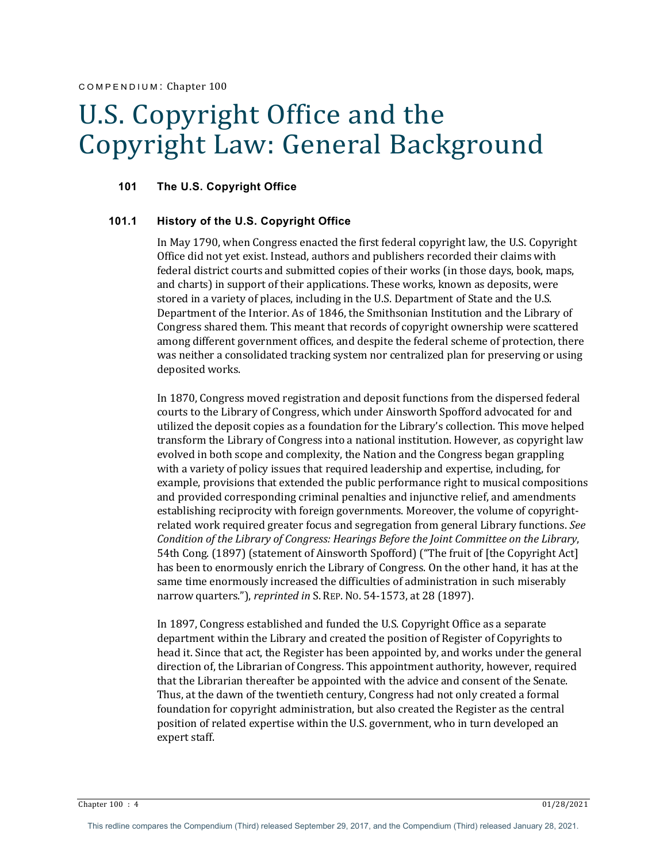COMPENDIUM: Chapter 100

# U.S. Copyright Office and the Copyright Law: General Background

#### **101 The U.S. Copyright Office**

#### **101.1 History of the U.S. Copyright Office**

In May 1790, when Congress enacted the first federal copyright law, the U.S. Copyright Office did not yet exist. Instead, authors and publishers recorded their claims with federal district courts and submitted copies of their works (in those days, book, maps, and charts) in support of their applications. These works, known as deposits, were stored in a variety of places, including in the U.S. Department of State and the U.S. Department of the Interior. As of 1846, the Smithsonian Institution and the Library of Congress shared them. This meant that records of copyright ownership were scattered among different government offices, and despite the federal scheme of protection, there was neither a consolidated tracking system nor centralized plan for preserving or using deposited works.

In 1870, Congress moved registration and deposit functions from the dispersed federal courts to the Library of Congress, which under Ainsworth Spofford advocated for and utilized the deposit copies as a foundation for the Library's collection. This move helped transform the Library of Congress into a national institution. However, as copyright law evolved in both scope and complexity, the Nation and the Congress began grappling with a variety of policy issues that required leadership and expertise, including, for example, provisions that extended the public performance right to musical compositions and provided corresponding criminal penalties and injunctive relief, and amendments establishing reciprocity with foreign governments. Moreover, the volume of copyrightrelated work required greater focus and segregation from general Library functions. *See Condition of the Library of Congress: Hearings Before the Joint Committee on the Library,* 54th Cong. (1897) (statement of Ainsworth Spofford) ("The fruit of [the Copyright Act] has been to enormously enrich the Library of Congress. On the other hand, it has at the same time enormously increased the difficulties of administration in such miserably narrow quarters."), *reprinted in* S. REP. No. 54-1573, at 28 (1897).

In 1897, Congress established and funded the U.S. Copyright Office as a separate department within the Library and created the position of Register of Copyrights to head it. Since that act, the Register has been appointed by, and works under the general direction of, the Librarian of Congress. This appointment authority, however, required that the Librarian thereafter be appointed with the advice and consent of the Senate. Thus, at the dawn of the twentieth century, Congress had not only created a formal foundation for copyright administration, but also created the Register as the central position of related expertise within the U.S. government, who in turn developed an expert staff.

 $\frac{61}{28/2021}$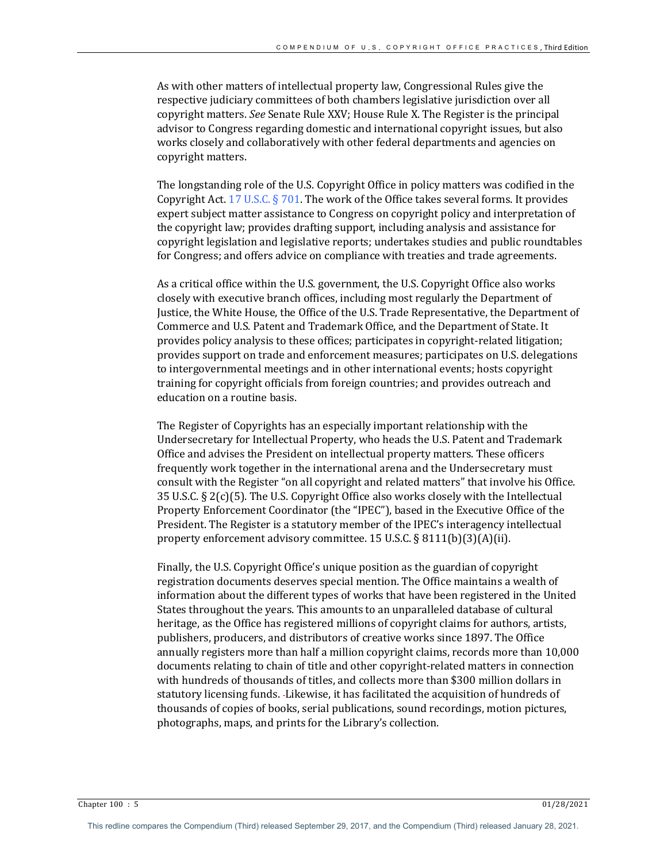As with other matters of intellectual property law, Congressional Rules give the respective judiciary committees of both chambers legislative jurisdiction over all copyright matters. See Senate Rule XXV; House Rule X. The Register is the principal advisor to Congress regarding domestic and international copyright issues, but also works closely and collaboratively with other federal departments and agencies on copyright matters.

The longstanding role of the U.S. Copyright Office in policy matters was codified in the Copyright Act. 17 U.S.C.  $\S 701$ . The work of the Office takes several forms. It provides expert subject matter assistance to Congress on copyright policy and interpretation of the copyright law; provides drafting support, including analysis and assistance for copyright legislation and legislative reports; undertakes studies and public roundtables for Congress; and offers advice on compliance with treaties and trade agreements.

As a critical office within the U.S. government, the U.S. Copyright Office also works closely with executive branch offices, including most regularly the Department of Justice, the White House, the Office of the U.S. Trade Representative, the Department of Commerce and U.S. Patent and Trademark Office, and the Department of State. It provides policy analysis to these offices; participates in copyright-related litigation; provides support on trade and enforcement measures; participates on U.S. delegations to intergovernmental meetings and in other international events; hosts copyright training for copyright officials from foreign countries; and provides outreach and education on a routine basis.

The Register of Copyrights has an especially important relationship with the Undersecretary for Intellectual Property, who heads the U.S. Patent and Trademark Office and advises the President on intellectual property matters. These officers frequently work together in the international arena and the Undersecretary must consult with the Register "on all copyright and related matters" that involve his Office. 35 U.S.C.  $\S 2(c)(5)$ . The U.S. Copyright Office also works closely with the Intellectual Property Enforcement Coordinator (the "IPEC"), based in the Executive Office of the President. The Register is a statutory member of the IPEC's interagency intellectual property enforcement advisory committee. 15 U.S.C. § 8111(b)(3)(A)(ii).

Finally, the U.S. Copyright Office's unique position as the guardian of copyright registration documents deserves special mention. The Office maintains a wealth of information about the different types of works that have been registered in the United States throughout the years. This amounts to an unparalleled database of cultural heritage, as the Office has registered millions of copyright claims for authors, artists, publishers, producers, and distributors of creative works since 1897. The Office annually registers more than half a million copyright claims, records more than 10,000 documents relating to chain of title and other copyright-related matters in connection with hundreds of thousands of titles, and collects more than \$300 million dollars in statutory licensing funds. -Likewise, it has facilitated the acquisition of hundreds of thousands of copies of books, serial publications, sound recordings, motion pictures, photographs, maps, and prints for the Library's collection.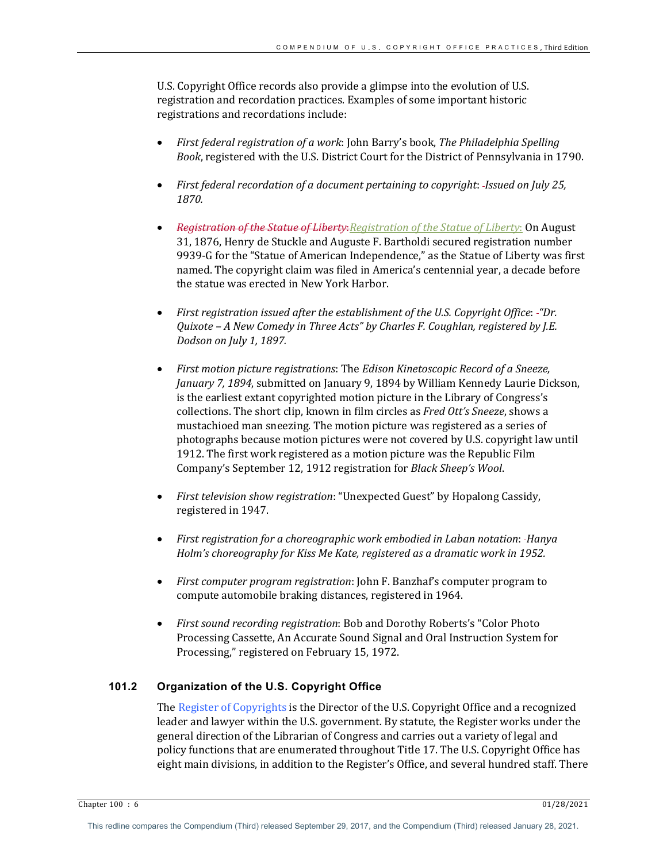U.S. Copyright Office records also provide a glimpse into the evolution of U.S. registration and recordation practices. Examples of some important historic registrations and recordations include:

- *First federal registration of a work*: John Barry's book, *The Philadelphia Spelling Book*, registered with the U.S. District Court for the District of Pennsylvania in 1790.
- *First federal recordation of a document pertaining to copyright: -Issued on July 25, 1870.*
- *Registration of the Statue of Liberty*:*Registration of the Statue of Liberty*: On August 31, 1876, Henry de Stuckle and Auguste F. Bartholdi secured registration number 9939-G for the "Statue of American Independence," as the Statue of Liberty was first named. The copyright claim was filed in America's centennial year, a decade before the statue was erected in New York Harbor.
- *First registration issued after the establishment of the U.S. Copyright Office: -"Dr. Quixote* – A New Comedy in Three Acts" by Charles F. Coughlan, registered by J.E. *Dodson on July 1, 1897.*
- *First motion picture registrations: The Edison Kinetoscopic Record of a Sneeze,* January 7, 1894, submitted on January 9, 1894 by William Kennedy Laurie Dickson, is the earliest extant copyrighted motion picture in the Library of Congress's collections. The short clip, known in film circles as *Fred Ott's Sneeze*, shows a mustachioed man sneezing. The motion picture was registered as a series of photographs because motion pictures were not covered by U.S. copyright law until 1912. The first work registered as a motion picture was the Republic Film Company's September 12, 1912 registration for *Black Sheep's Wool*.
- *First television show registration*: "Unexpected Guest" by Hopalong Cassidy, registered in 1947.
- *First registration for a choreographic work embodied in Laban notation: -Hanya Holm's choreography for Kiss Me Kate, registered as a dramatic work in 1952.*
- *First computer program registration*: John F. Banzhaf's computer program to compute automobile braking distances, registered in 1964.
- First sound recording registration: Bob and Dorothy Roberts's "Color Photo Processing Cassette, An Accurate Sound Signal and Oral Instruction System for Processing," registered on February 15, 1972.

### **101.2 Organization of the U.S. Copyright Office**

The Register of Copyrights is the Director of the U.S. Copyright Office and a recognized leader and lawyer within the U.S. government. By statute, the Register works under the general direction of the Librarian of Congress and carries out a variety of legal and policy functions that are enumerated throughout Title 17. The U.S. Copyright Office has eight main divisions, in addition to the Register's Office, and several hundred staff. There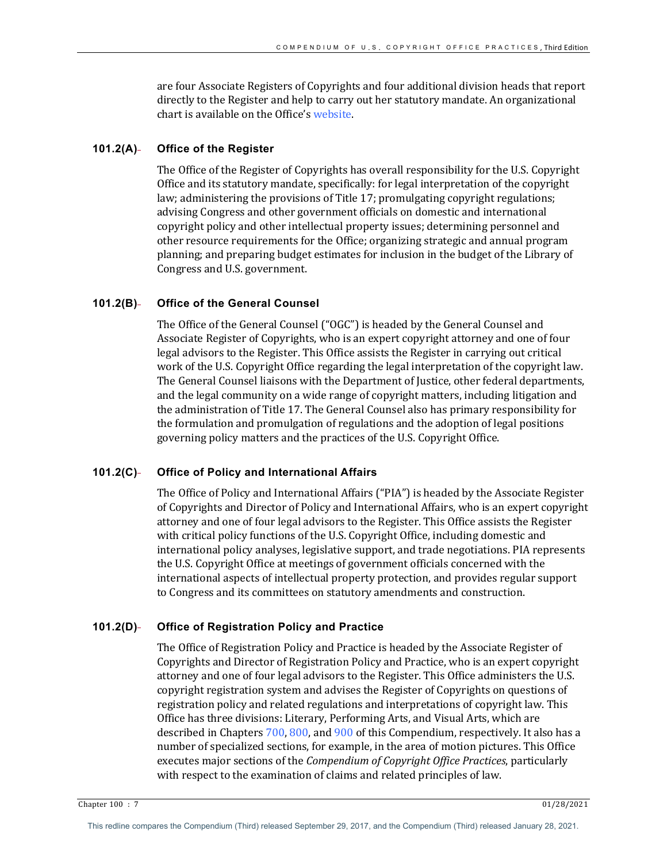are four Associate Registers of Copyrights and four additional division heads that report directly to the Register and help to carry out her statutory mandate. An organizational chart is available on the Office's website.

## **101.2(A) Office of the Register**

The Office of the Register of Copyrights has overall responsibility for the U.S. Copyright Office and its statutory mandate, specifically: for legal interpretation of the copyright law; administering the provisions of Title 17; promulgating copyright regulations; advising Congress and other government officials on domestic and international copyright policy and other intellectual property issues; determining personnel and other resource requirements for the Office; organizing strategic and annual program planning; and preparing budget estimates for inclusion in the budget of the Library of Congress and U.S. government.

## **101.2(B) Office of the General Counsel**

The Office of the General Counsel ("OGC") is headed by the General Counsel and Associate Register of Copyrights, who is an expert copyright attorney and one of four legal advisors to the Register. This Office assists the Register in carrying out critical work of the U.S. Copyright Office regarding the legal interpretation of the copyright law. The General Counsel liaisons with the Department of Justice, other federal departments, and the legal community on a wide range of copyright matters, including litigation and the administration of Title 17. The General Counsel also has primary responsibility for the formulation and promulgation of regulations and the adoption of legal positions governing policy matters and the practices of the U.S. Copyright Office.

#### **101.2(C) Office of Policy and International Affairs**

The Office of Policy and International Affairs ("PIA") is headed by the Associate Register of Copyrights and Director of Policy and International Affairs, who is an expert copyright attorney and one of four legal advisors to the Register. This Office assists the Register with critical policy functions of the U.S. Copyright Office, including domestic and international policy analyses, legislative support, and trade negotiations. PIA represents the U.S. Copyright Office at meetings of government officials concerned with the international aspects of intellectual property protection, and provides regular support to Congress and its committees on statutory amendments and construction.

#### **101.2(D) Office of Registration Policy and Practice**

The Office of Registration Policy and Practice is headed by the Associate Register of Copyrights and Director of Registration Policy and Practice, who is an expert copyright attorney and one of four legal advisors to the Register. This Office administers the U.S. copyright registration system and advises the Register of Copyrights on questions of registration policy and related regulations and interpretations of copyright law. This Office has three divisions: Literary, Performing Arts, and Visual Arts, which are described in Chapters 700, 800, and 900 of this Compendium, respectively. It also has a number of specialized sections, for example, in the area of motion pictures. This Office executes major sections of the *Compendium of Copyright Office Practices*, particularly with respect to the examination of claims and related principles of law.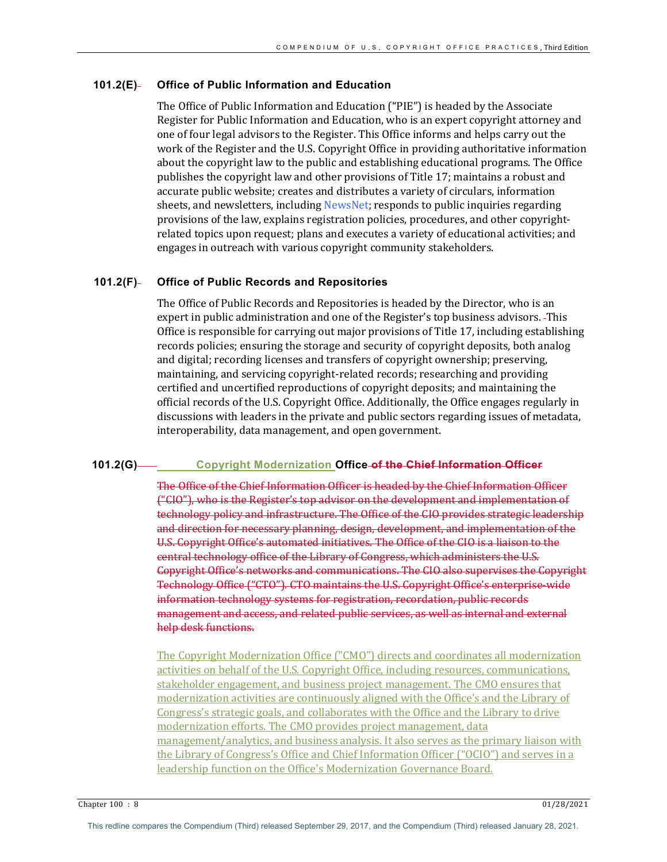# **101.2(E) Office of Public Information and Education**

The Office of Public Information and Education  $($ "PIE") is headed by the Associate Register for Public Information and Education, who is an expert copyright attorney and one of four legal advisors to the Register. This Office informs and helps carry out the work of the Register and the U.S. Copyright Office in providing authoritative information about the copyright law to the public and establishing educational programs. The Office publishes the copyright law and other provisions of Title 17; maintains a robust and accurate public website; creates and distributes a variety of circulars, information sheets, and newsletters, including NewsNet; responds to public inquiries regarding provisions of the law, explains registration policies, procedures, and other copyrightrelated topics upon request; plans and executes a variety of educational activities; and engages in outreach with various copyright community stakeholders.

# **101.2(F) Office of Public Records and Repositories**

The Office of Public Records and Repositories is headed by the Director, who is an expert in public administration and one of the Register's top business advisors. -This Office is responsible for carrying out major provisions of Title 17, including establishing records policies; ensuring the storage and security of copyright deposits, both analog and digital; recording licenses and transfers of copyright ownership; preserving, maintaining, and servicing copyright-related records; researching and providing certified and uncertified reproductions of copyright deposits; and maintaining the official records of the U.S. Copyright Office. Additionally, the Office engages regularly in discussions with leaders in the private and public sectors regarding issues of metadata, interoperability, data management, and open government.

# **101.2(G)** Copyright Modernization Office of the Chief Information Officer

The Office of the Chief Information Officer is headed by the Chief Information Officer ("CIO"), who is the Register's top advisor on the development and implementation of technology policy and infrastructure. The Office of the CIO provides strategic leadership and direction for necessary planning, design, development, and implementation of the U.S. Copyright Office's automated initiatives. The Office of the CIO is a liaison to the central technology office of the Library of Congress, which administers the U.S. Copyright Office's networks and communications. The CIO also supervises the Copyright Technology Office ("CTO"). CTO maintains the U.S. Copyright Office's enterprise-wide information technology systems for registration, recordation, public records management and access, and related public services, as well as internal and external help desk functions.

The Copyright Modernization Office ("CMO") directs and coordinates all modernization activities on behalf of the U.S. Copyright Office, including resources, communications, stakeholder engagement, and business project management. The CMO ensures that modernization activities are continuously aligned with the Office's and the Library of Congress's strategic goals, and collaborates with the Office and the Library to drive modernization efforts. The CMO provides project management, data management/analytics, and business analysis. It also serves as the primary liaison with the Library of Congress's Office and Chief Information Officer ("OCIO") and serves in a leadership function on the Office's Modernization Governance Board.

Chapter 100 : 8 01/28/2021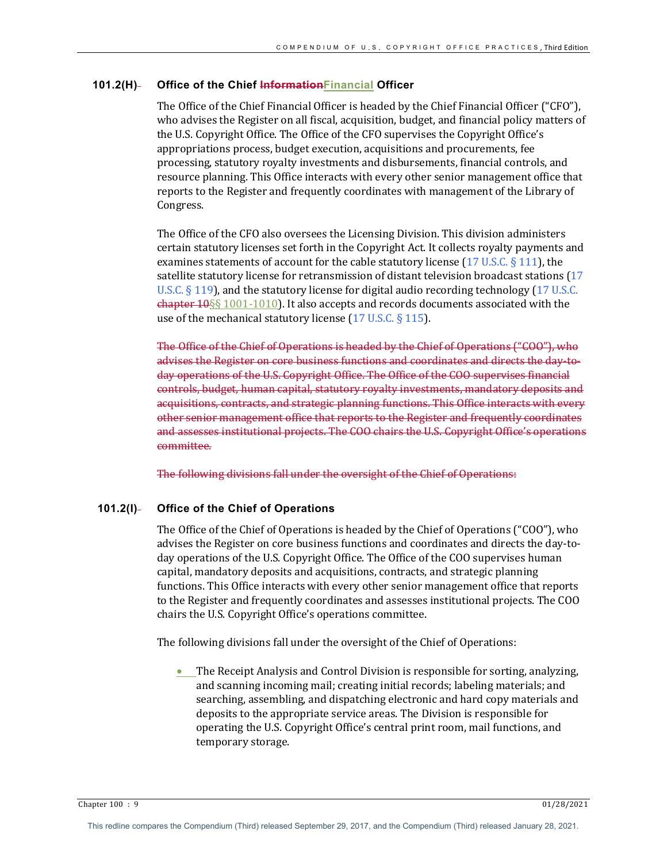#### **101.2(H) Office of the Chief InformationFinancial Officer**

The Office of the Chief Financial Officer is headed by the Chief Financial Officer ("CFO"), who advises the Register on all fiscal, acquisition, budget, and financial policy matters of the U.S. Copyright Office. The Office of the CFO supervises the Copyright Office's appropriations process, budget execution, acquisitions and procurements, fee processing, statutory royalty investments and disbursements, financial controls, and resource planning. This Office interacts with every other senior management office that reports to the Register and frequently coordinates with management of the Library of Congress. 

The Office of the CFO also oversees the Licensing Division. This division administers certain statutory licenses set forth in the Copyright Act. It collects royalty payments and examines statements of account for the cable statutory license  $(17 \text{ U.S.C.} \S 111)$ , the satellite statutory license for retransmission of distant television broadcast stations  $(17)$ U.S.C.  $\S$  119), and the statutory license for digital audio recording technology (17 U.S.C.  $\frac{10}{9}$  chapter 10§§ 1001-1010). It also accepts and records documents associated with the use of the mechanical statutory license  $(17 \text{ U.S.C.} \S 115)$ .

The Office of the Chief of Operations is headed by the Chief of Operations ("COO"), who advises the Register on core business functions and coordinates and directs the day-today operations of the U.S. Copyright Office. The Office of the COO supervises financial controls, budget, human capital, statutory royalty investments, mandatory deposits and acquisitions, contracts, and strategic planning functions. This Office interacts with every other senior management office that reports to the Register and frequently coordinates and assesses institutional projects. The COO chairs the U.S. Copyright Office's operations committee.

The following divisions fall under the oversight of the Chief of Operations:

# **101.2(I) Office of the Chief of Operations**

The Office of the Chief of Operations is headed by the Chief of Operations ("COO"), who advises the Register on core business functions and coordinates and directs the day-today operations of the U.S. Copyright Office. The Office of the COO supervises human capital, mandatory deposits and acquisitions, contracts, and strategic planning functions. This Office interacts with every other senior management office that reports to the Register and frequently coordinates and assesses institutional projects. The COO chairs the U.S. Copyright Office's operations committee.

The following divisions fall under the oversight of the Chief of Operations:

• The Receipt Analysis and Control Division is responsible for sorting, analyzing, and scanning incoming mail; creating initial records; labeling materials; and searching, assembling, and dispatching electronic and hard copy materials and deposits to the appropriate service areas. The Division is responsible for operating the U.S. Copyright Office's central print room, mail functions, and temporary storage.

 $\frac{1}{28/2021}$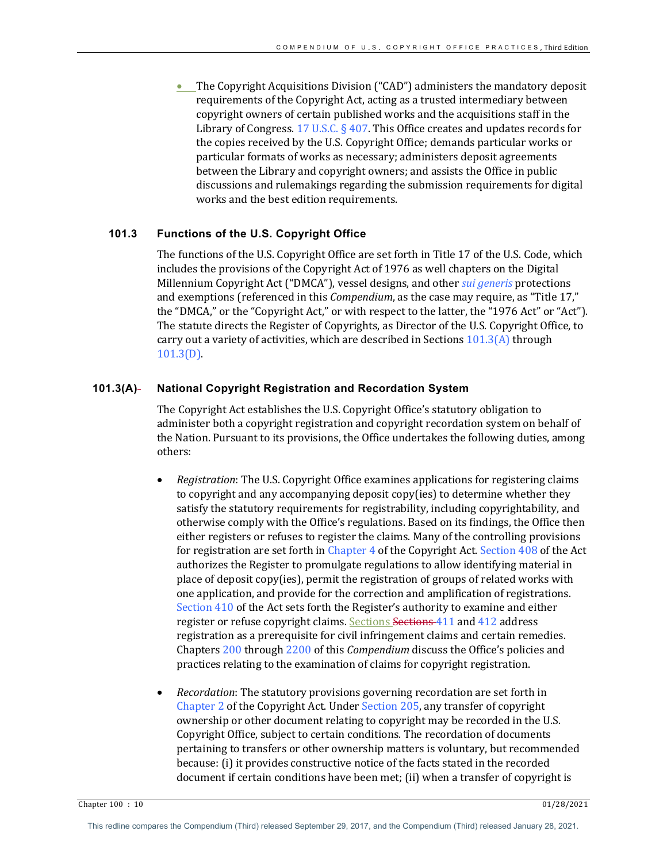• The Copyright Acquisitions Division ("CAD") administers the mandatory deposit requirements of the Copyright Act, acting as a trusted intermediary between copyright owners of certain published works and the acquisitions staff in the Library of Congress. 17 U.S.C.  $\S$  407. This Office creates and updates records for the copies received by the U.S. Copyright Office; demands particular works or particular formats of works as necessary; administers deposit agreements between the Library and copyright owners; and assists the Office in public discussions and rulemakings regarding the submission requirements for digital works and the best edition requirements.

## **101.3 Functions of the U.S. Copyright Office**

The functions of the U.S. Copyright Office are set forth in Title 17 of the U.S. Code, which includes the provisions of the Copyright Act of 1976 as well chapters on the Digital Millennium Copyright Act ("DMCA"), vessel designs, and other *sui generis* protections and exemptions (referenced in this *Compendium*, as the case may require, as "Title 17," the "DMCA," or the "Copyright Act," or with respect to the latter, the "1976 Act" or "Act"). The statute directs the Register of Copyrights, as Director of the U.S. Copyright Office, to carry out a variety of activities, which are described in Sections  $101.3(A)$  through 101.3(D). 

#### **101.3(A) National Copyright Registration and Recordation System**

The Copyright Act establishes the U.S. Copyright Office's statutory obligation to administer both a copyright registration and copyright recordation system on behalf of the Nation. Pursuant to its provisions, the Office undertakes the following duties, among others:

- *Registration*: The U.S. Copyright Office examines applications for registering claims to copyright and any accompanying deposit copy(ies) to determine whether they satisfy the statutory requirements for registrability, including copyrightability, and otherwise comply with the Office's regulations. Based on its findings, the Office then either registers or refuses to register the claims. Many of the controlling provisions for registration are set forth in Chapter 4 of the Copyright Act. Section  $408$  of the Act authorizes the Register to promulgate regulations to allow identifying material in place of deposit copy(ies), permit the registration of groups of related works with one application, and provide for the correction and amplification of registrations. Section  $410$  of the Act sets forth the Register's authority to examine and either register or refuse copyright claims. Sections Sections 411 and 412 address registration as a prerequisite for civil infringement claims and certain remedies. Chapters 200 through 2200 of this *Compendium* discuss the Office's policies and practices relating to the examination of claims for copyright registration.
- *Recordation*: The statutory provisions governing recordation are set forth in Chapter 2 of the Copyright Act. Under Section 205, any transfer of copyright ownership or other document relating to copyright may be recorded in the U.S. Copyright Office, subject to certain conditions. The recordation of documents pertaining to transfers or other ownership matters is voluntary, but recommended because: (i) it provides constructive notice of the facts stated in the recorded document if certain conditions have been met; (ii) when a transfer of copyright is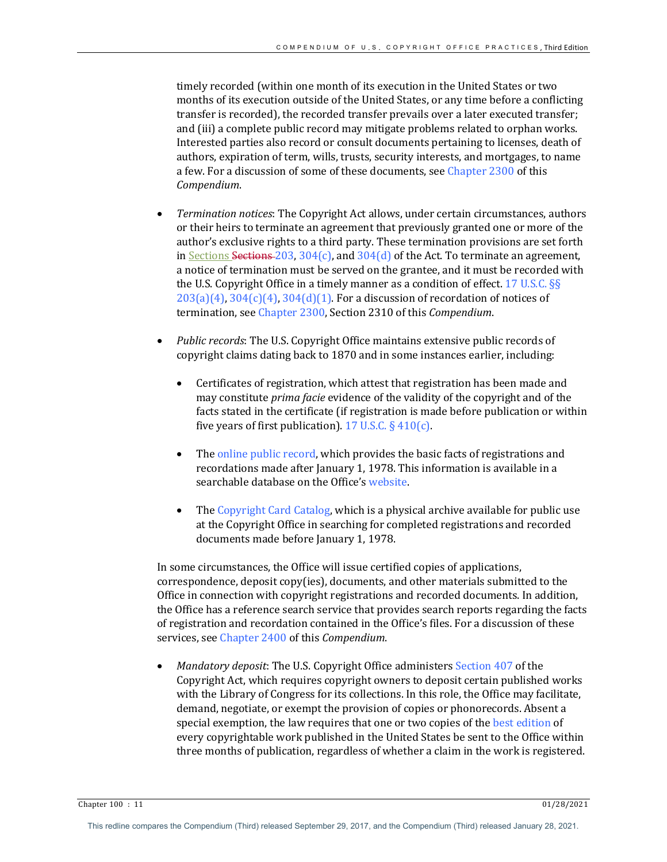timely recorded (within one month of its execution in the United States or two months of its execution outside of the United States, or any time before a conflicting transfer is recorded), the recorded transfer prevails over a later executed transfer; and (iii) a complete public record may mitigate problems related to orphan works. Interested parties also record or consult documents pertaining to licenses, death of authors, expiration of term, wills, trusts, security interests, and mortgages, to name a few. For a discussion of some of these documents, see Chapter 2300 of this *Compendium*. 

- *Termination notices*: The Copyright Act allows, under certain circumstances, authors or their heirs to terminate an agreement that previously granted one or more of the author's exclusive rights to a third party. These termination provisions are set forth in Sections Sections 203, 304(c), and  $304(d)$  of the Act. To terminate an agreement, a notice of termination must be served on the grantee, and it must be recorded with the U.S. Copyright Office in a timely manner as a condition of effect.  $17 \text{ U.S.C.}$  §§  $203(a)(4)$ ,  $304(c)(4)$ ,  $304(d)(1)$ . For a discussion of recordation of notices of termination, see Chapter 2300, Section 2310 of this *Compendium*.
- *Public records*: The U.S. Copyright Office maintains extensive public records of copyright claims dating back to 1870 and in some instances earlier, including:
	- Certificates of registration, which attest that registration has been made and may constitute *prima facie* evidence of the validity of the copyright and of the facts stated in the certificate (if registration is made before publication or within five years of first publication). 17 U.S.C.  $\S$  410(c).
	- The online public record, which provides the basic facts of registrations and recordations made after January 1, 1978. This information is available in a searchable database on the Office's website.
	- The Copyright Card Catalog, which is a physical archive available for public use at the Copyright Office in searching for completed registrations and recorded documents made before January 1, 1978.

In some circumstances, the Office will issue certified copies of applications, correspondence, deposit copy(ies), documents, and other materials submitted to the Office in connection with copyright registrations and recorded documents. In addition, the Office has a reference search service that provides search reports regarding the facts of registration and recordation contained in the Office's files. For a discussion of these services, see Chapter 2400 of this *Compendium*.

*Mandatory deposit:* The U.S. Copyright Office administers Section 407 of the Copyright Act, which requires copyright owners to deposit certain published works with the Library of Congress for its collections. In this role, the Office may facilitate, demand, negotiate, or exempt the provision of copies or phonorecords. Absent a special exemption, the law requires that one or two copies of the best edition of every copyrightable work published in the United States be sent to the Office within three months of publication, regardless of whether a claim in the work is registered.

Chapter 100 : 11 01/28/2021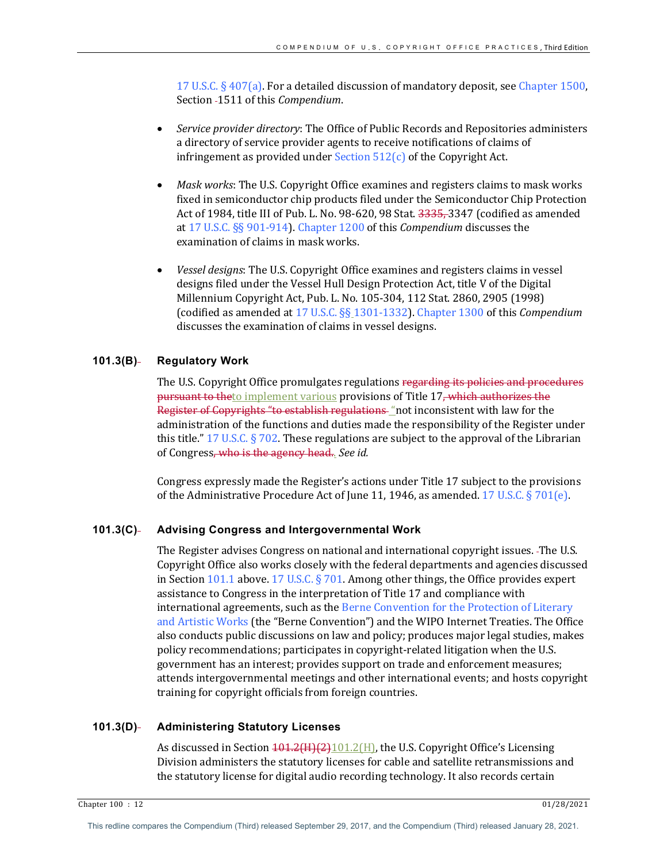17 U.S.C.  $\S$  407(a). For a detailed discussion of mandatory deposit, see Chapter 1500, Section -1511 of this *Compendium*.

- *Service provider directory*: The Office of Public Records and Repositories administers a directory of service provider agents to receive notifications of claims of infringement as provided under Section  $512(c)$  of the Copyright Act.
- Mask works: The U.S. Copyright Office examines and registers claims to mask works fixed in semiconductor chip products filed under the Semiconductor Chip Protection Act of 1984, title III of Pub. L. No. 98-620, 98 Stat. 3335, 3347 (codified as amended at 17 U.S.C. §§ 901-914). Chapter 1200 of this *Compendium* discusses the examination of claims in mask works.
- *Vessel designs*: The U.S. Copyright Office examines and registers claims in vessel designs filed under the Vessel Hull Design Protection Act, title V of the Digital Millennium Copyright Act, Pub. L. No. 105-304, 112 Stat. 2860, 2905 (1998) (codified as amended at 17 U.S.C. §§ 1301-1332). Chapter 1300 of this *Compendium* discusses the examination of claims in vessel designs.

#### **101.3(B) Regulatory Work**

The U.S. Copyright Office promulgates regulations regarding its policies and procedures **pursuant to theto** implement various provisions of Title 17, which authorizes the Register of Copyrights "to establish regulations "not inconsistent with law for the administration of the functions and duties made the responsibility of the Register under this title."  $17 \text{ U.S.C.}$   $\S 702$ . These regulations are subject to the approval of the Librarian of Congress<del>, who is the agency head.</del>. See id.

Congress expressly made the Register's actions under Title 17 subject to the provisions of the Administrative Procedure Act of June 11, 1946, as amended. 17 U.S.C.  $\S 701(e)$ .

#### **101.3(C) Advising Congress and Intergovernmental Work**

The Register advises Congress on national and international copyright issues. -The U.S. Copyright Office also works closely with the federal departments and agencies discussed in Section 101.1 above. 17 U.S.C. § 701. Among other things, the Office provides expert assistance to Congress in the interpretation of Title 17 and compliance with international agreements, such as the Berne Convention for the Protection of Literary and Artistic Works (the "Berne Convention") and the WIPO Internet Treaties. The Office also conducts public discussions on law and policy; produces major legal studies, makes policy recommendations; participates in copyright-related litigation when the U.S. government has an interest; provides support on trade and enforcement measures; attends intergovernmental meetings and other international events; and hosts copyright training for copyright officials from foreign countries.

#### **101.3(D) Administering Statutory Licenses**

As discussed in Section  $\frac{401.2(H)(2)101.2(H)}{401.2(H)(2)}$ , the U.S. Copyright Office's Licensing Division administers the statutory licenses for cable and satellite retransmissions and the statutory license for digital audio recording technology. It also records certain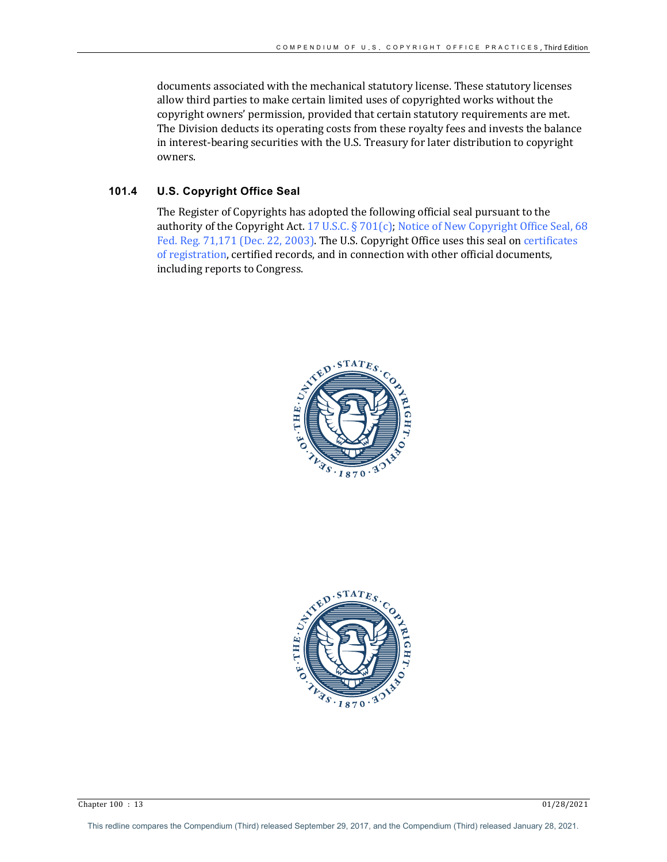documents associated with the mechanical statutory license. These statutory licenses allow third parties to make certain limited uses of copyrighted works without the copyright owners' permission, provided that certain statutory requirements are met. The Division deducts its operating costs from these royalty fees and invests the balance in interest-bearing securities with the U.S. Treasury for later distribution to copyright owners. 

# **101.4 U.S. Copyright Office Seal**

The Register of Copyrights has adopted the following official seal pursuant to the authority of the Copyright Act. 17 U.S.C. § 701(c); Notice of New Copyright Office Seal, 68 Fed. Reg. 71,171 (Dec. 22, 2003). The U.S. Copyright Office uses this seal on certificates of registration, certified records, and in connection with other official documents, including reports to Congress.





Chapter 100 : 13 01/28/2021

This redline compares the Compendium (Third) released September 29, 2017, and the Compendium (Third) released January 28, 2021.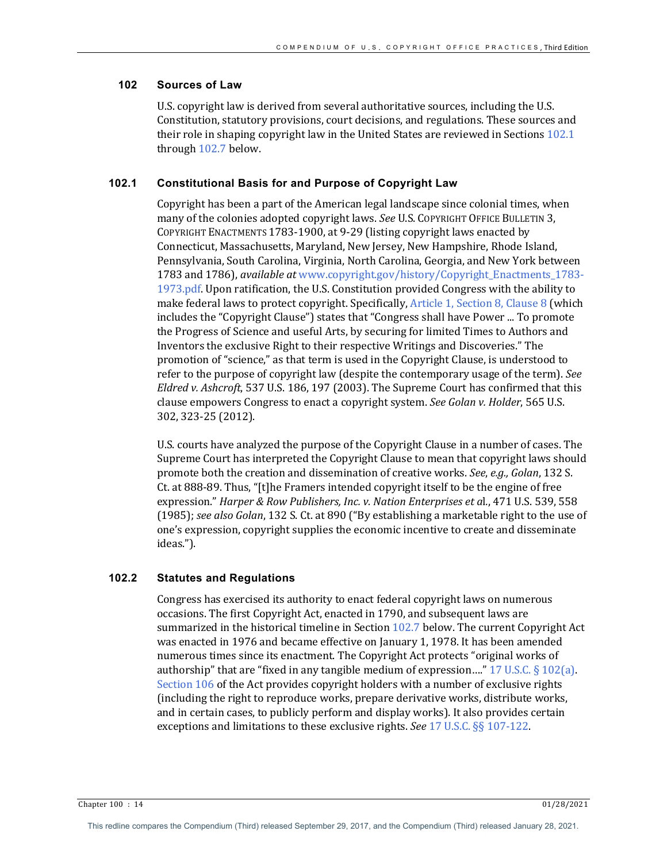# **102 Sources of Law**

U.S. copyright law is derived from several authoritative sources, including the U.S. Constitution, statutory provisions, court decisions, and regulations. These sources and their role in shaping copyright law in the United States are reviewed in Sections  $102.1$ through 102.7 below.

## **102.1 Constitutional Basis for and Purpose of Copyright Law**

Copyright has been a part of the American legal landscape since colonial times, when many of the colonies adopted copyright laws. *See* U.S. COPYRIGHT OFFICE BULLETIN 3, COPYRIGHT ENACTMENTS 1783-1900, at 9-29 (listing copyright laws enacted by Connecticut, Massachusetts, Maryland, New Jersey, New Hampshire, Rhode Island, Pennsylvania, South Carolina, Virginia, North Carolina, Georgia, and New York between 1783 and 1786), *available at www.copyright.gov/history/Copyright\_Enactments\_1783-*1973.pdf. Upon ratification, the U.S. Constitution provided Congress with the ability to make federal laws to protect copyright. Specifically, Article 1, Section 8, Clause 8 (which includes the "Copyright Clause") states that "Congress shall have Power ... To promote the Progress of Science and useful Arts, by securing for limited Times to Authors and Inventors the exclusive Right to their respective Writings and Discoveries." The promotion of "science," as that term is used in the Copyright Clause, is understood to refer to the purpose of copyright law (despite the contemporary usage of the term). See *Eldred v. Ashcroft*, 537 U.S. 186, 197 (2003). The Supreme Court has confirmed that this clause empowers Congress to enact a copyright system. *See Golan v. Holder*, 565 U.S. 302, 323-25 (2012). 

U.S. courts have analyzed the purpose of the Copyright Clause in a number of cases. The Supreme Court has interpreted the Copyright Clause to mean that copyright laws should promote both the creation and dissemination of creative works. *See, e.g., Golan*, 132 S. Ct. at 888-89. Thus, "[t]he Framers intended copyright itself to be the engine of free expression." *Harper & Row Publishers, Inc. v. Nation Enterprises et al., 471 U.S.* 539, 558 (1985); see also Golan, 132 S. Ct. at 890 ("By establishing a marketable right to the use of one's expression, copyright supplies the economic incentive to create and disseminate ideas."). 

#### **102.2 Statutes and Regulations**

Congress has exercised its authority to enact federal copyright laws on numerous occasions. The first Copyright Act, enacted in 1790, and subsequent laws are summarized in the historical timeline in Section  $102.7$  below. The current Copyright Act was enacted in 1976 and became effective on January 1, 1978. It has been amended numerous times since its enactment. The Copyright Act protects "original works of authorship" that are "fixed in any tangible medium of expression...."  $17$  U.S.C. §  $102(a)$ . Section  $106$  of the Act provides copyright holders with a number of exclusive rights (including the right to reproduce works, prepare derivative works, distribute works, and in certain cases, to publicly perform and display works). It also provides certain exceptions and limitations to these exclusive rights. *See* 17 U.S.C. §§ 107-122.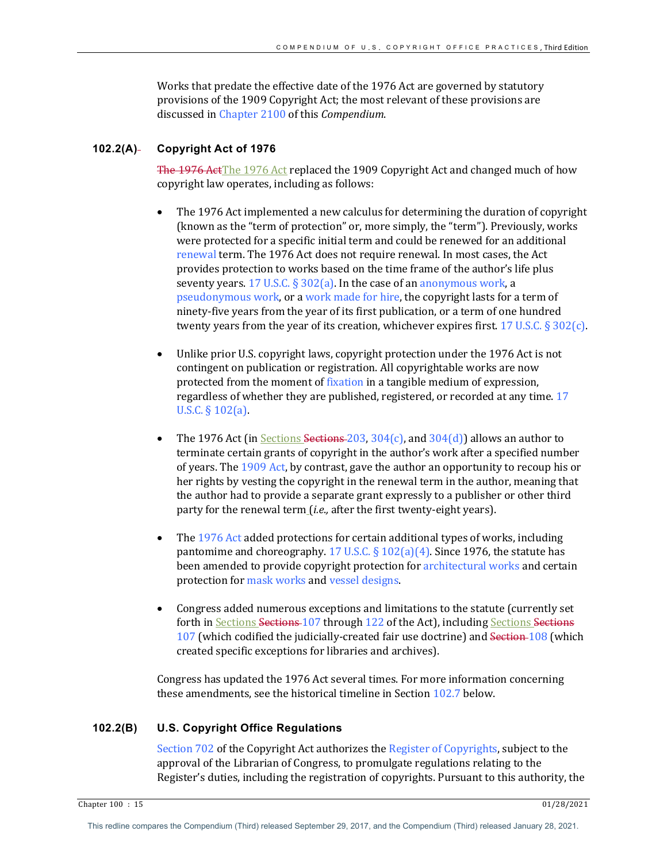Works that predate the effective date of the 1976 Act are governed by statutory provisions of the 1909 Copyright Act; the most relevant of these provisions are discussed in Chapter 2100 of this *Compendium*.

# **102.2(A) Copyright Act of 1976**

The 1976 ActThe 1976 Act replaced the 1909 Copyright Act and changed much of how copyright law operates, including as follows:

- The 1976 Act implemented a new calculus for determining the duration of copyright (known as the "term of protection" or, more simply, the "term"). Previously, works were protected for a specific initial term and could be renewed for an additional renewal term. The 1976 Act does not require renewal. In most cases, the Act provides protection to works based on the time frame of the author's life plus seventy years.  $17$  U.S.C. §  $302(a)$ . In the case of an anonymous work, a pseudonymous work, or a work made for hire, the copyright lasts for a term of ninety-five years from the year of its first publication, or a term of one hundred twenty years from the year of its creation, whichever expires first. 17 U.S.C.  $\S 302(c)$ .
- Unlike prior U.S. copyright laws, copyright protection under the 1976 Act is not contingent on publication or registration. All copyrightable works are now protected from the moment of fixation in a tangible medium of expression, regardless of whether they are published, registered, or recorded at any time. 17 U.S.C.  $\S 102(a)$ .
- The 1976 Act (in Sections Sections 203, 304(c), and  $304(d)$ ) allows an author to terminate certain grants of copyright in the author's work after a specified number of years. The 1909 Act, by contrast, gave the author an opportunity to recoup his or her rights by vesting the copyright in the renewal term in the author, meaning that the author had to provide a separate grant expressly to a publisher or other third party for the renewal term *(i.e.*, after the first twenty-eight years).
- The 1976 Act added protections for certain additional types of works, including pantomime and choreography. 17 U.S.C.  $\S 102(a)(4)$ . Since 1976, the statute has been amended to provide copyright protection for architectural works and certain protection for mask works and vessel designs.
- Congress added numerous exceptions and limitations to the statute (currently set forth in Sections Sections 107 through 122 of the Act), including Sections Sections 107 (which codified the judicially-created fair use doctrine) and Section 108 (which created specific exceptions for libraries and archives).

Congress has updated the 1976 Act several times. For more information concerning these amendments, see the historical timeline in Section  $102.7$  below.

#### **102.2(B) U.S. Copyright Office Regulations**

Section  $702$  of the Copyright Act authorizes the Register of Copyrights, subject to the approval of the Librarian of Congress, to promulgate regulations relating to the Register's duties, including the registration of copyrights. Pursuant to this authority, the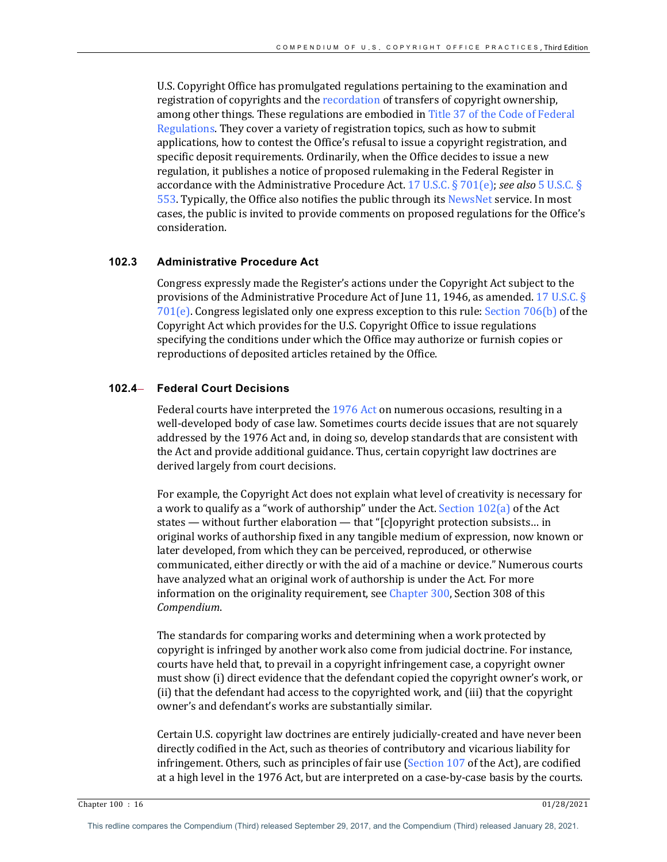U.S. Copyright Office has promulgated regulations pertaining to the examination and registration of copyrights and the recordation of transfers of copyright ownership, among other things. These regulations are embodied in Title 37 of the Code of Federal Regulations. They cover a variety of registration topics, such as how to submit applications, how to contest the Office's refusal to issue a copyright registration, and specific deposit requirements. Ordinarily, when the Office decides to issue a new regulation, it publishes a notice of proposed rulemaking in the Federal Register in accordance with the Administrative Procedure Act.  $17 \text{ U.S.C.}$  §  $701(e)$ ; *see also* 5 U.S.C. § 553. Typically, the Office also notifies the public through its NewsNet service. In most cases, the public is invited to provide comments on proposed regulations for the Office's consideration. 

#### **102.3 Administrative Procedure Act**

Congress expressly made the Register's actions under the Copyright Act subject to the provisions of the Administrative Procedure Act of June 11, 1946, as amended.  $17 \text{ U.S.C. }$ §  $701(e)$ . Congress legislated only one express exception to this rule: Section  $706(b)$  of the Copyright Act which provides for the U.S. Copyright Office to issue regulations specifying the conditions under which the Office may authorize or furnish copies or reproductions of deposited articles retained by the Office.

#### **102.4 Federal Court Decisions**

Federal courts have interpreted the  $1976$  Act on numerous occasions, resulting in a well-developed body of case law. Sometimes courts decide issues that are not squarely addressed by the 1976 Act and, in doing so, develop standards that are consistent with the Act and provide additional guidance. Thus, certain copyright law doctrines are derived largely from court decisions.

For example, the Copyright Act does not explain what level of creativity is necessary for a work to qualify as a "work of authorship" under the Act. Section  $102(a)$  of the Act states — without further elaboration — that "[c]opyright protection subsists... in original works of authorship fixed in any tangible medium of expression, now known or later developed, from which they can be perceived, reproduced, or otherwise communicated, either directly or with the aid of a machine or device." Numerous courts have analyzed what an original work of authorship is under the Act. For more information on the originality requirement, see Chapter 300, Section 308 of this *Compendium*. 

The standards for comparing works and determining when a work protected by copyright is infringed by another work also come from judicial doctrine. For instance, courts have held that, to prevail in a copyright infringement case, a copyright owner must show (i) direct evidence that the defendant copied the copyright owner's work, or (ii) that the defendant had access to the copyrighted work, and (iii) that the copyright owner's and defendant's works are substantially similar.

Certain U.S. copyright law doctrines are entirely judicially-created and have never been directly codified in the Act, such as theories of contributory and vicarious liability for infringement. Others, such as principles of fair use  $(Section 107$  of the Act), are codified at a high level in the 1976 Act, but are interpreted on a case-by-case basis by the courts.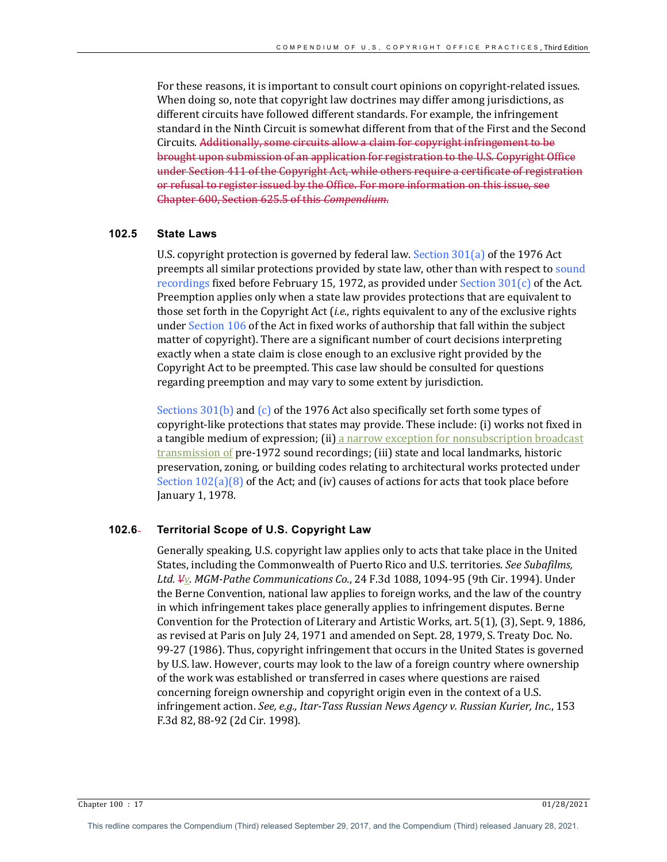For these reasons, it is important to consult court opinions on copyright-related issues. When doing so, note that copyright law doctrines may differ among jurisdictions, as different circuits have followed different standards. For example, the infringement standard in the Ninth Circuit is somewhat different from that of the First and the Second Circuits. Additionally, some circuits allow a claim for copyright infringement to be brought upon submission of an application for registration to the U.S. Copyright Office under Section 411 of the Copyright Act, while others require a certificate of registration or refusal to register issued by the Office. For more information on this issue, see Chapter 600, Section 625.5 of this *Compendium*.

## **102.5 State Laws**

U.S. copyright protection is governed by federal law. Section  $301(a)$  of the 1976 Act preempts all similar protections provided by state law, other than with respect to sound recordings fixed before February 15, 1972, as provided under Section  $301(c)$  of the Act. Preemption applies only when a state law provides protections that are equivalent to those set forth in the Copyright Act (*i.e.*, rights equivalent to any of the exclusive rights under Section  $106$  of the Act in fixed works of authorship that fall within the subject matter of copyright). There are a significant number of court decisions interpreting exactly when a state claim is close enough to an exclusive right provided by the Copyright Act to be preempted. This case law should be consulted for questions regarding preemption and may vary to some extent by jurisdiction.

Sections  $301(b)$  and  $(c)$  of the 1976 Act also specifically set forth some types of copyright-like protections that states may provide. These include: (i) works not fixed in a tangible medium of expression; (ii) a narrow exception for nonsubscription broadcast transmission of pre-1972 sound recordings; (iii) state and local landmarks, historic preservation, zoning, or building codes relating to architectural works protected under Section  $102(a)(8)$  of the Act; and (iv) causes of actions for acts that took place before January 1, 1978.

## **102.6 Territorial Scope of U.S. Copyright Law**

Generally speaking, U.S. copyright law applies only to acts that take place in the United States, including the Commonwealth of Puerto Rico and U.S. territories. *See Subafilms*, *Ltd. ¥y. MGM-Pathe Communications Co.,* 24 F.3d 1088, 1094-95 (9th Cir. 1994). Under the Berne Convention, national law applies to foreign works, and the law of the country in which infringement takes place generally applies to infringement disputes. Berne Convention for the Protection of Literary and Artistic Works, art. 5(1), (3), Sept. 9, 1886, as revised at Paris on July 24, 1971 and amended on Sept. 28, 1979, S. Treaty Doc. No. 99-27 (1986). Thus, copyright infringement that occurs in the United States is governed by U.S. law. However, courts may look to the law of a foreign country where ownership of the work was established or transferred in cases where questions are raised concerning foreign ownership and copyright origin even in the context of a U.S. infringement action. See, e.g., Itar-Tass Russian News Agency v. Russian Kurier, Inc., 153 F.3d 82, 88-92 (2d Cir. 1998).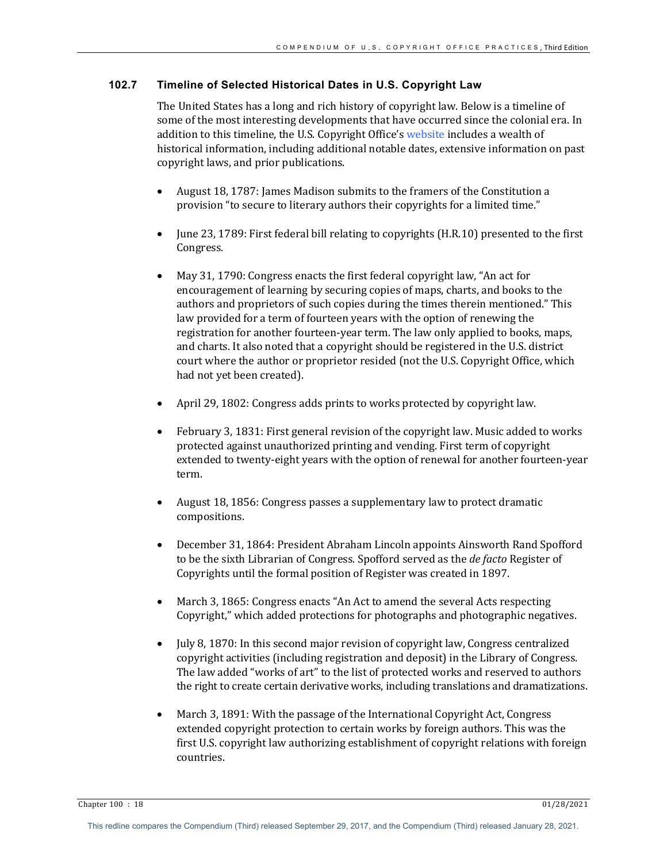# **102.7 Timeline of Selected Historical Dates in U.S. Copyright Law**

The United States has a long and rich history of copyright law. Below is a timeline of some of the most interesting developments that have occurred since the colonial era. In addition to this timeline, the U.S. Copyright Office's website includes a wealth of historical information, including additional notable dates, extensive information on past copyright laws, and prior publications.

- August 18, 1787: James Madison submits to the framers of the Constitution a provision "to secure to literary authors their copyrights for a limited time."
- June 23, 1789: First federal bill relating to copyrights (H.R.10) presented to the first Congress.
- May 31, 1790: Congress enacts the first federal copyright law, "An act for encouragement of learning by securing copies of maps, charts, and books to the authors and proprietors of such copies during the times therein mentioned." This law provided for a term of fourteen years with the option of renewing the registration for another fourteen-year term. The law only applied to books, maps, and charts. It also noted that a copyright should be registered in the U.S. district court where the author or proprietor resided (not the U.S. Copyright Office, which had not yet been created).
- April 29, 1802: Congress adds prints to works protected by copyright law.
- February 3, 1831: First general revision of the copyright law. Music added to works protected against unauthorized printing and vending. First term of copyright extended to twenty-eight years with the option of renewal for another fourteen-year term.
- August 18, 1856: Congress passes a supplementary law to protect dramatic compositions.
- December 31, 1864: President Abraham Lincoln appoints Ainsworth Rand Spofford to be the sixth Librarian of Congress. Spofford served as the *de facto* Register of Copyrights until the formal position of Register was created in 1897.
- March 3, 1865: Congress enacts "An Act to amend the several Acts respecting Copyright," which added protections for photographs and photographic negatives.
- July 8, 1870: In this second major revision of copyright law, Congress centralized copyright activities (including registration and deposit) in the Library of Congress. The law added "works of art" to the list of protected works and reserved to authors the right to create certain derivative works, including translations and dramatizations.
- March 3, 1891: With the passage of the International Copyright Act, Congress extended copyright protection to certain works by foreign authors. This was the first U.S. copyright law authorizing establishment of copyright relations with foreign countries.

Chapter 100 : 18 01/28/2021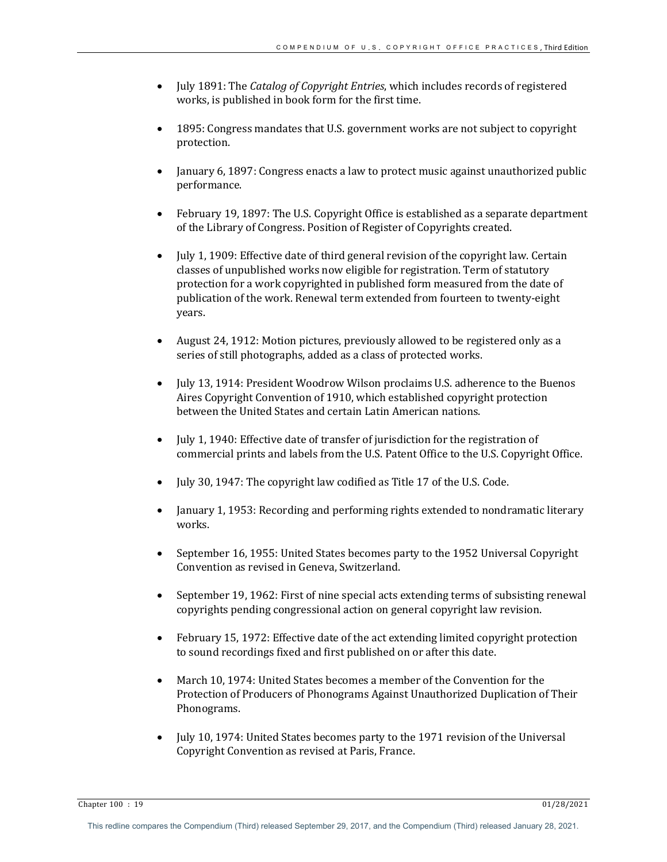- July 1891: The *Catalog of Copyright Entries*, which includes records of registered works, is published in book form for the first time.
- 1895: Congress mandates that U.S. government works are not subject to copyright protection.
- January 6, 1897: Congress enacts a law to protect music against unauthorized public performance.
- February 19, 1897: The U.S. Copyright Office is established as a separate department of the Library of Congress. Position of Register of Copyrights created.
- July 1, 1909: Effective date of third general revision of the copyright law. Certain classes of unpublished works now eligible for registration. Term of statutory protection for a work copyrighted in published form measured from the date of publication of the work. Renewal term extended from fourteen to twenty-eight years.
- August 24, 1912: Motion pictures, previously allowed to be registered only as a series of still photographs, added as a class of protected works.
- July 13, 1914: President Woodrow Wilson proclaims U.S. adherence to the Buenos Aires Copyright Convention of 1910, which established copyright protection between the United States and certain Latin American nations.
- July 1, 1940: Effective date of transfer of jurisdiction for the registration of commercial prints and labels from the U.S. Patent Office to the U.S. Copyright Office.
- July 30, 1947: The copyright law codified as Title 17 of the U.S. Code.
- January 1, 1953: Recording and performing rights extended to nondramatic literary works.
- September 16, 1955: United States becomes party to the 1952 Universal Copyright Convention as revised in Geneva, Switzerland.
- September 19, 1962: First of nine special acts extending terms of subsisting renewal copyrights pending congressional action on general copyright law revision.
- February 15, 1972: Effective date of the act extending limited copyright protection to sound recordings fixed and first published on or after this date.
- March 10, 1974: United States becomes a member of the Convention for the Protection of Producers of Phonograms Against Unauthorized Duplication of Their Phonograms.
- July 10, 1974: United States becomes party to the 1971 revision of the Universal Copyright Convention as revised at Paris, France.

Chapter 100 : 19 01/28/2021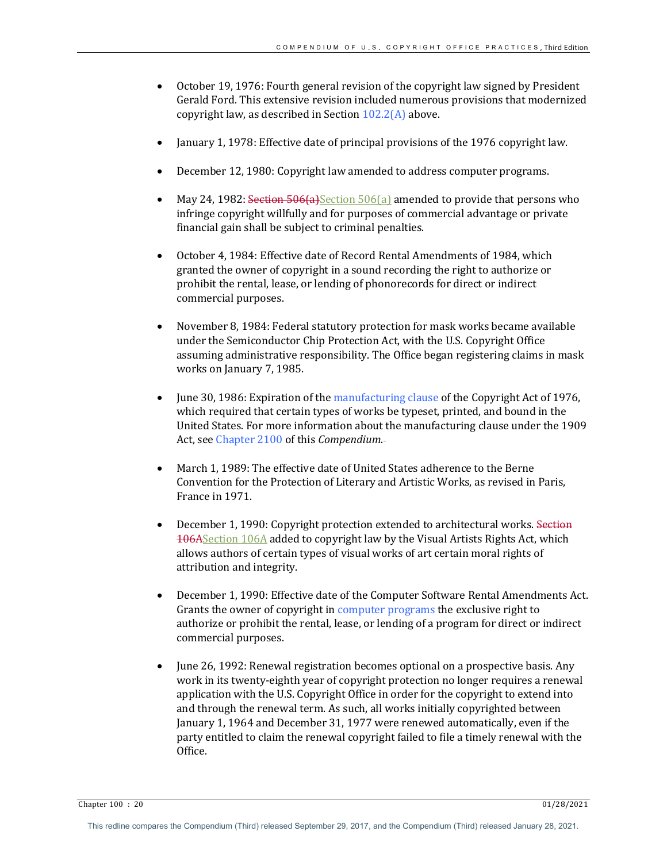- October 19, 1976: Fourth general revision of the copyright law signed by President Gerald Ford. This extensive revision included numerous provisions that modernized copyright law, as described in Section  $102.2(A)$  above.
- January 1, 1978: Effective date of principal provisions of the 1976 copyright law.
- December 12, 1980: Copyright law amended to address computer programs.
- May 24, 1982: Section  $\frac{506}{a}$ Section  $\frac{506}{a}$  amended to provide that persons who infringe copyright willfully and for purposes of commercial advantage or private financial gain shall be subject to criminal penalties.
- October 4, 1984: Effective date of Record Rental Amendments of 1984, which granted the owner of copyright in a sound recording the right to authorize or prohibit the rental, lease, or lending of phonorecords for direct or indirect commercial purposes.
- November 8, 1984: Federal statutory protection for mask works became available under the Semiconductor Chip Protection Act, with the U.S. Copyright Office assuming administrative responsibility. The Office began registering claims in mask works on January 7, 1985.
- June 30, 1986: Expiration of the manufacturing clause of the Copyright Act of 1976, which required that certain types of works be typeset, printed, and bound in the United States. For more information about the manufacturing clause under the 1909 Act, see Chapter 2100 of this *Compendium*.
- March 1, 1989: The effective date of United States adherence to the Berne Convention for the Protection of Literary and Artistic Works, as revised in Paris, France in 1971.
- December 1, 1990: Copyright protection extended to architectural works. Section 106ASection 106A added to copyright law by the Visual Artists Rights Act, which allows authors of certain types of visual works of art certain moral rights of attribution and integrity.
- December 1, 1990: Effective date of the Computer Software Rental Amendments Act. Grants the owner of copyright in computer programs the exclusive right to authorize or prohibit the rental, lease, or lending of a program for direct or indirect commercial purposes.
- June 26, 1992: Renewal registration becomes optional on a prospective basis. Any work in its twenty-eighth year of copyright protection no longer requires a renewal application with the U.S. Copyright Office in order for the copyright to extend into and through the renewal term. As such, all works initially copyrighted between January 1, 1964 and December 31, 1977 were renewed automatically, even if the party entitled to claim the renewal copyright failed to file a timely renewal with the Office.

 $\frac{1}{28/2021}$  Chapter 100 : 20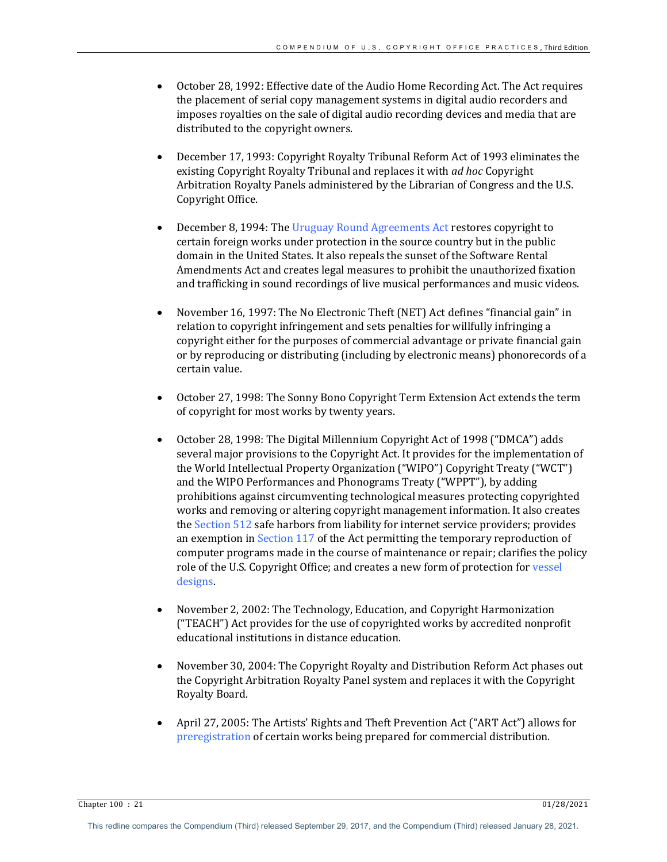- October 28, 1992: Effective date of the Audio Home Recording Act. The Act requires the placement of serial copy management systems in digital audio recorders and imposes royalties on the sale of digital audio recording devices and media that are distributed to the copyright owners.
- December 17, 1993: Copyright Royalty Tribunal Reform Act of 1993 eliminates the existing Copyright Royalty Tribunal and replaces it with *ad hoc* Copyright Arbitration Royalty Panels administered by the Librarian of Congress and the U.S. Copyright Office.
- December 8, 1994: The Uruguay Round Agreements Act restores copyright to certain foreign works under protection in the source country but in the public domain in the United States. It also repeals the sunset of the Software Rental Amendments Act and creates legal measures to prohibit the unauthorized fixation and trafficking in sound recordings of live musical performances and music videos.
- November 16, 1997: The No Electronic Theft (NET) Act defines "financial gain" in relation to copyright infringement and sets penalties for willfully infringing a copyright either for the purposes of commercial advantage or private financial gain or by reproducing or distributing (including by electronic means) phonorecords of a certain value.
- October 27, 1998: The Sonny Bono Copyright Term Extension Act extends the term of copyright for most works by twenty years.
- October 28, 1998: The Digital Millennium Copyright Act of 1998 ("DMCA") adds several major provisions to the Copyright Act. It provides for the implementation of the World Intellectual Property Organization ("WIPO") Copyright Treaty ("WCT") and the WIPO Performances and Phonograms Treaty ("WPPT"), by adding prohibitions against circumventing technological measures protecting copyrighted works and removing or altering copyright management information. It also creates the Section 512 safe harbors from liability for internet service providers; provides an exemption in Section 117 of the Act permitting the temporary reproduction of computer programs made in the course of maintenance or repair; clarifies the policy role of the U.S. Copyright Office; and creates a new form of protection for vessel designs.
- November 2, 2002: The Technology, Education, and Copyright Harmonization ("TEACH") Act provides for the use of copyrighted works by accredited nonprofit educational institutions in distance education.
- November 30, 2004: The Copyright Royalty and Distribution Reform Act phases out the Copyright Arbitration Royalty Panel system and replaces it with the Copyright Royalty Board.
- April 27, 2005: The Artists' Rights and Theft Prevention Act ("ART Act") allows for preregistration of certain works being prepared for commercial distribution.

 $\frac{1}{28/2021}$  01/28/2021